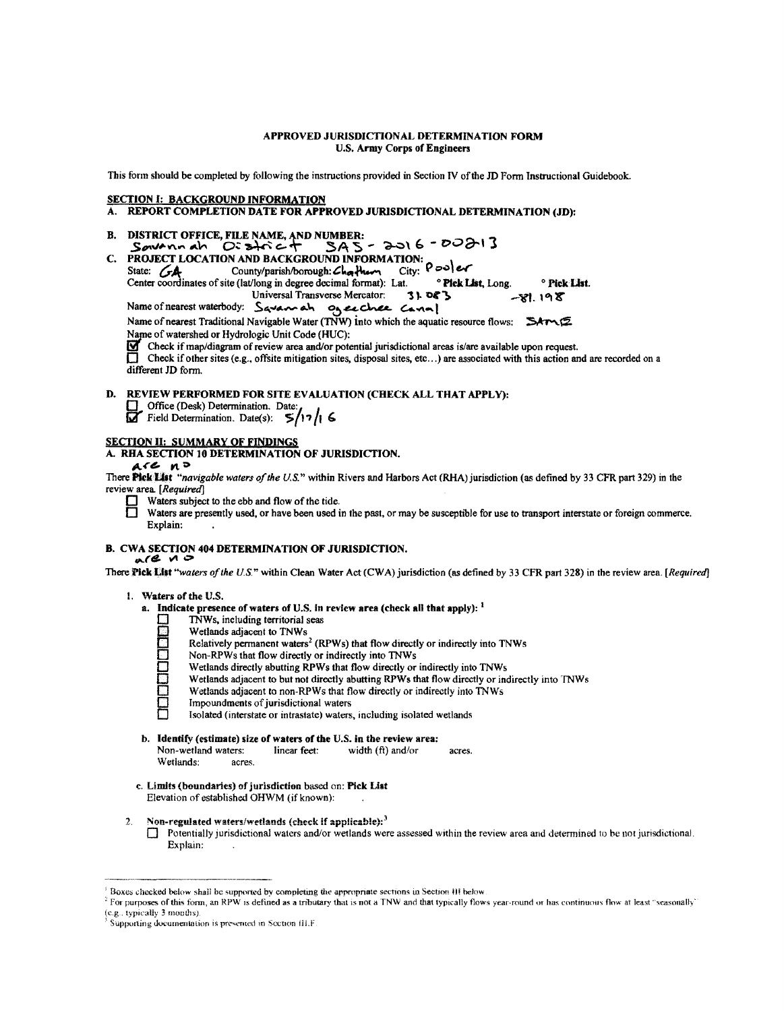### APPROVED JURISDICTIONAL DETERMINATION FORM U.S. Army Corps of Engineers

This form should be completed by following the instructions provided in Section IV ofthe JD Fonn Instructional Guidebook.

### **SECTION I: BACKGROUND INFORMATION**<br>A **REPORT COMPLETION DATE FOR APP**

### REPORT COMPLETION DATE FOR APPROVED JURISDICTIONAL DETERMINATION (JD):

B. DISTRICT OFFICE, FILE NAME, AND NUMBER:<br>Soveno do C:  $2\pi$  c+ 5A5  $SAS - 2016 - 00213$ C. PROJECT LOCATION AND BACKGROUND INFORMATION:  $\epsilon$  *e-er county/parish/borough: Charmetion*:  $\theta$  *e-e* Center coordinates of site (lat/long in degree decimal format): Lat. <sup>0</sup> Pick List, Long. 0 Pick List. Universal Transverse Mercator:  $3!083$  -VI. 198 Name of nearest waterbody: Savanah ogenthee Cann!

Name of nearest Traditional Navigable Water (TNW) into which the aquatic resource flows:  $\sum A r \wedge (\sum A r \wedge r)$ Name of watershed or Hydrologic Unit Code (HUC):

 $\mathbf F$  Check if map/diagram of review area and/or potential jurisdictional areas is/are available upon request.

Check if other sites (e.g., offsite mitigation sites, disposal sites, etc...) are associated with this action and are recorded on a different JD form.

### D. REVIEW PERFORMED FOR SITE EVALUATION (CHECK ALL THAT APPLY):

- 
- Office (Desk) Determination. Date:<br>
Field Determination. Date(s):  $5/17/16$

### SECTION II: SUMMARY OF FINDINGS

A. RHA SECTION 10 DETERMINATION OF JURISDICTION.

 $ACC<sub>n</sub>$ 

There Pick List "navigable waters of the U.S." within Rivers and Harbors Act (RHA) jurisdiction (as defined by 33 CFR part 329) in the review area. [Required]

- $\Box$  Waters subject to the ebb and flow of the tide.<br>Waters are presently used, or have been used
- Waters are presently used, or have been used in the past, or may be susceptible for use to transport interstate or foreign commerce. Explain:

# B. CWA SECTION 404 DETERMINATION OF JURISDICTION.

There Pick List "waters of the U.S." within Clean Water Act (CWA) jurisdiction (as defined by 33 CFR part 328) in the review area. [Required]

### 1. Waters of the U.S.

- a. Indicate presence of waters of U.S. In review area (check all that apply):  $\frac{1}{2}$  TNWs, including territorial seas
	-
	- Wetlands adjacent to TNWs
	- Relatively permanent waters<sup>2</sup> (RPWs) that flow directly or indirectly into TNWs
	- Non-RPWs that flow directly or indirectly into TNWs
	- Wetlands directly abutting RPWs that flow directly or indirectly into TNWs
	- Wetlands adjacent to but not directly abutting RPWs that flow directly or indirectly into TNWs
	- TRWs, including territorial seas<br>
	Wetlands adjacent to TNWs<br>
	Relatively permanent waters<sup>2</sup> (R<br>
	Non-RPWs that flow directly or<br>
	Wetlands directly abutting RPW<br>
	Wetlands adjacent to hon-RPWs<br>
	Hypourdments of jurisdictional<br> Wetlands adjacent to non-RPWs that flow directly or indirectly into TNWs
		- Impoundments of jurisdictional waters
		- 0 Isolated (interstate or intrastate) waters, includiug isolated wetlands
- b. **Identify (estimate) size of waters of the U.S. in the review area:**<br>Non-wetland waters: linear feet: width (ft) and/or

Non-wetland waters: linear feet: width (ft) and/or acres. Wetiands: acres.

- c. Limits (boundaries) of jurisdiction based on: Pick List Elevation of established OHWM (if known):
- 2. Non-regulated waters/wetlands (check if applicable):<sup>3</sup>
	- Detentially jurisdictional waters and/or wetlands were assessed within the review area and determined to be not jurisdictional. Explain:

 $180x$  Boxes checked below shall be supported by completing the appropriate sections in Section III below.

 $^2$  For purposes of this form, an RPW is defined as a tributary that is not a TNW and that typically flows year-round or has continuous flow at least "seasonally" (e.g., typically 3 months).

Supporting documentation is presented in Section III.F.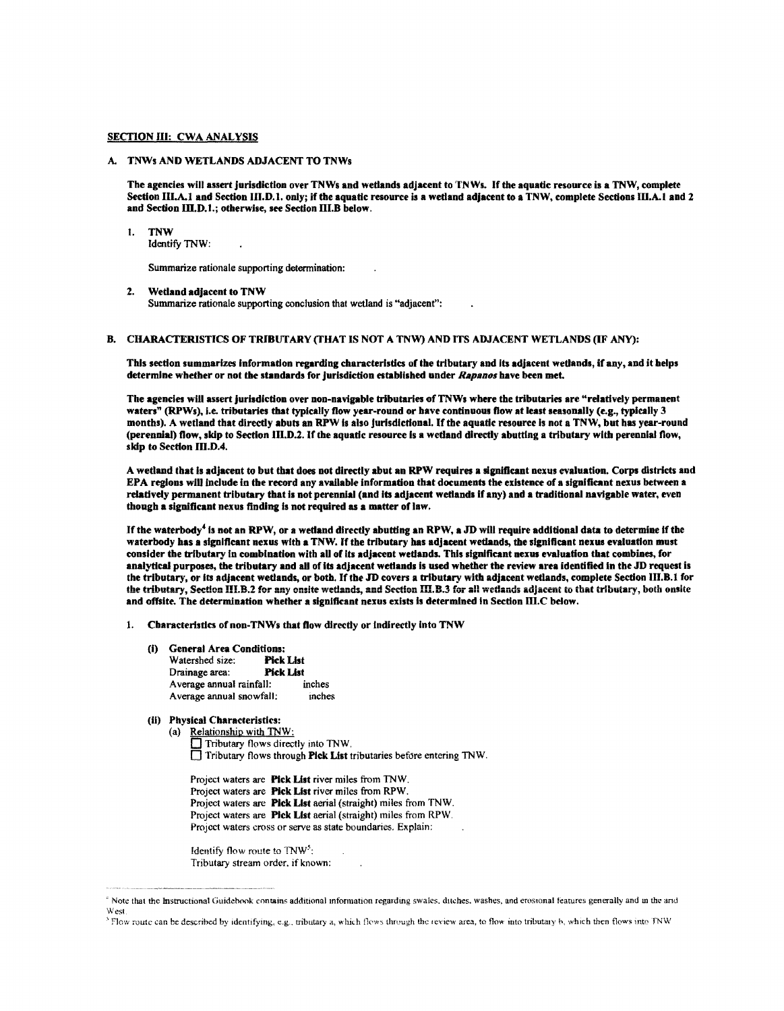### SECTION III: CWA ANALYSIS

### A. TNWs AND WETLANDS ADJACENT TO TNWs

The agencies will assert jurisdiction over TNWs and wetlands adjacent to TN Ws. Ifthe aquatic resource is a TNW, complete Section III.A.I and Section 111.D.1. only; if the aquatic resource is a wetland adjacent to a TNW, complete Sections Ill.A. I and 2 and Section III.D.1.; otherwise, see Section III.B below.

#### 1. TNW

Identify TNW:

Summarize rationale supporting determination:

### 2. Wetland adjacent to TNW

Summarize rationale supporting conclusion that wetland is "adjacent":

B. CHARACTERISTICS OF TRIBUTARY (THAT IS NOT A TNW) AND ITS ADJACENT WETLANDS (IF ANY):

This section summarizes Information regarding characteristics of the tributary and Its adjacent wetlands, If any, and it helps determine whether or not the standards for jurisdiction established under *Rapanos* have been met

The agencies will assert jurisdiction over non-navigable tributaries of TNWs where the tributaries are "relatively permanent waters" (RPWs), I.e. tributaries that typically flow year-round or have continuous flow at least seasonally (e.g., typically 3 months). A wetland that directly abuts an RPW Is also jurisdictional. Ifthe aquatic resource Is not a TNW, but has year-round (perennial) flow, skip to Section 111.D.2. Ifthe aquatic resource Is a wetland directly abutting a tributary with perennial flow, skip to Section III.D.4.

A wetland that Is adjacent to but that does not directly abut an RPW requires a significant nexus evaluation. Corps districts and EPA regions will include in the record any available information that documents the existence of a significant nexus between a relatively permanent tributary that Is not perennial (and Its adjacent wetlands If any) and a traditional navigable water, even though a significant nexus finding is not required as a matter of law.

If the waterbody<sup>4</sup> is not an RPW, or a wetland directly abutting an RPW, a JD will require additional data to determine if the waterbody bas a significant nexus with a TNW. If the tributary has adjacent wetlands, the significant nexus evaluation must consider the tributary in combination with aU of Its adjacent wedands. This significant nexus evaluation that combines, for analytical purposes, the tributary and all ofits adjacent wetlands is used whether the review area identified In the JD request is the tributary, or its adjacent wetlands, or both. If the JD covers a tributary with adjacent wetlands, complete Section III.B.1 for the tributary, Section III.B.2 for any onsite wetlands, and Section III.B.3 for all wetlands adjacent to that tributary, both onsite and offsite. The determination whether a significant nexus exists is determined in Section III.C below.

- 1. Characteristics of non-TNWs that flow directly or indirectly into TNW
	- (i) General Area Conditions: Watershed size: Pick List Drainage area: Pick List<br>Average annual rainfall: inches Average annual rainfall: Average annual snowfall: mches
	- (ii) Physical Characteristics:
		- (a) Relationship with TNW: Tributary flows directly into TNW. Tributary flows through Pick List tributaries before entering TNW.

```
Project waters are Pick List river miles from TNW. 
Project waters are Piek List river miles from RPW. 
Project waters are Pick List aerial (straight) miles from TNW. 
Project waters are Piek List aerial (straight) miles from RPW. 
Project waters cross or serve as state boundaries. Explain:
```
Identify flow route to  $TNW<sup>5</sup>$ : Tributary stream order. if known:

<sup>&</sup>lt;sup>\*</sup> Note that the instructional Guidebook contains additional information regarding swales, ditches, washes, and erosional features generally and in the and West

<sup>&</sup>lt;sup>5</sup> Flow route can be described by identifying, e.g., tributary a, which flows through the review area, to flow into tributary b, which then flows into TNW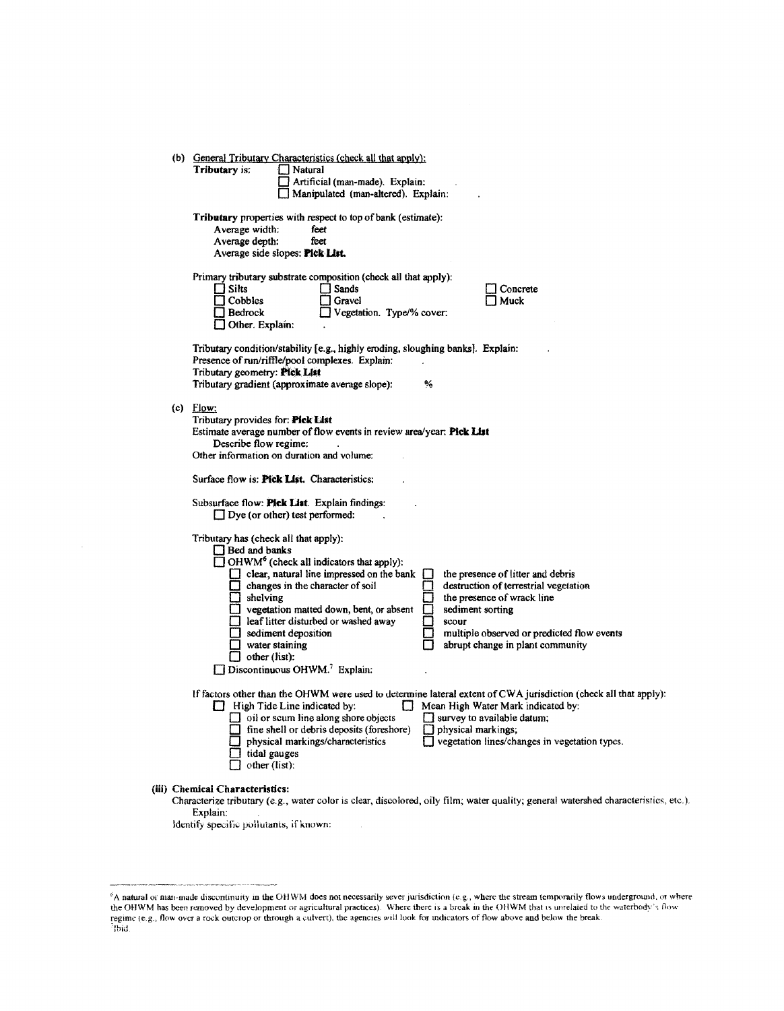|                                                                                        | (b) General Tributary Characteristics (check all that apply):<br>Tributary is:<br>Natural<br>Artificial (man-made). Explain:<br>Manipulated (man-altered). Explain:                                                                                                                                                                                                                                                                                                                                                                                                                                                                                                   |  |  |  |  |
|----------------------------------------------------------------------------------------|-----------------------------------------------------------------------------------------------------------------------------------------------------------------------------------------------------------------------------------------------------------------------------------------------------------------------------------------------------------------------------------------------------------------------------------------------------------------------------------------------------------------------------------------------------------------------------------------------------------------------------------------------------------------------|--|--|--|--|
|                                                                                        | Tributary properties with respect to top of bank (estimate):<br>Average width:<br>feet<br>Average depth:<br>feet<br>Average side slopes: Pick List.                                                                                                                                                                                                                                                                                                                                                                                                                                                                                                                   |  |  |  |  |
|                                                                                        | Primary tributary substrate composition (check all that apply):<br>$\Box$ Sands<br>l I Silts<br>Concrete<br>$\Box$ Cobbles<br>Gravel<br>Muck<br>Vegetation. Type/% cover:<br>Bedrock<br>Other. Explain:                                                                                                                                                                                                                                                                                                                                                                                                                                                               |  |  |  |  |
|                                                                                        | Tributary condition/stability [e.g., highly eroding, sloughing banks]. Explain:<br>Presence of run/riffle/pool complexes. Explain:<br>Tributary geometry: Pick List<br>Tributary gradient (approximate average slope):<br>℅                                                                                                                                                                                                                                                                                                                                                                                                                                           |  |  |  |  |
|                                                                                        | $(c)$ Flow:<br>Tributary provides for: Pick List<br>Estimate average number of flow events in review area/year: Pick List<br>Describe flow regime:<br>Other information on duration and volume:<br>Surface flow is: <b>Pick List.</b> Characteristics:                                                                                                                                                                                                                                                                                                                                                                                                                |  |  |  |  |
| Subsurface flow: Pick List. Explain findings:<br>$\Box$ Dye (or other) test performed: |                                                                                                                                                                                                                                                                                                                                                                                                                                                                                                                                                                                                                                                                       |  |  |  |  |
|                                                                                        | Tributary has (check all that apply):<br>$\Box$ Bed and banks<br>$\Box$ OHWM <sup>6</sup> (check all indicators that apply):<br>$\Box$ clear, natural line impressed on the bank<br>the presence of litter and debris<br>changes in the character of soil<br>destruction of terrestrial vegetation<br>$\Box$ shelving<br>the presence of wrack line<br>sediment sorting<br>y vegetation matted down, bent, or absent<br>leaf litter disturbed or washed away<br>scour<br>sediment deposition<br>multiple observed or predicted flow events<br>water staining<br>abrupt change in plant community<br>$\Box$ other (list):<br>Discontinuous OHWM. <sup>7</sup> Explain: |  |  |  |  |
|                                                                                        | If factors other than the OHWM were used to determine lateral extent of CWA jurisdiction (check all that apply):<br>High Tide Line indicated by:<br>Mean High Water Mark indicated by:<br>$\Box$<br>$\Box$ oil or scum line along shore objects<br>$\Box$ survey to available datum;<br>fine shell or debris deposits (foreshore)<br>$\Box$ physical markings;<br>physical markings/characteristics<br>vegetation lines/changes in vegetation types.<br>tidal gauges<br>other (list):                                                                                                                                                                                 |  |  |  |  |
|                                                                                        | (iii) Chemical Characteristics:<br>Characterize tributary (e.g., water color is clear, discolored, oily film; water quality; general watershed characteristics, etc.).<br>Explain:                                                                                                                                                                                                                                                                                                                                                                                                                                                                                    |  |  |  |  |

ldentify specific pollutants, if known:

 $\hat{\boldsymbol{\theta}}$ 

A natural or man-made discontinuity in the OHWM does not necessarily sever jurisdiction (e.g., where the stream temporarily flows underground, or where<br>the OHWM has been removed by development or agricultural practices). W regime (e.g., flow over a rock outcrop or through a culvert), the agencies will look for indicators of flow above and below the break Ibid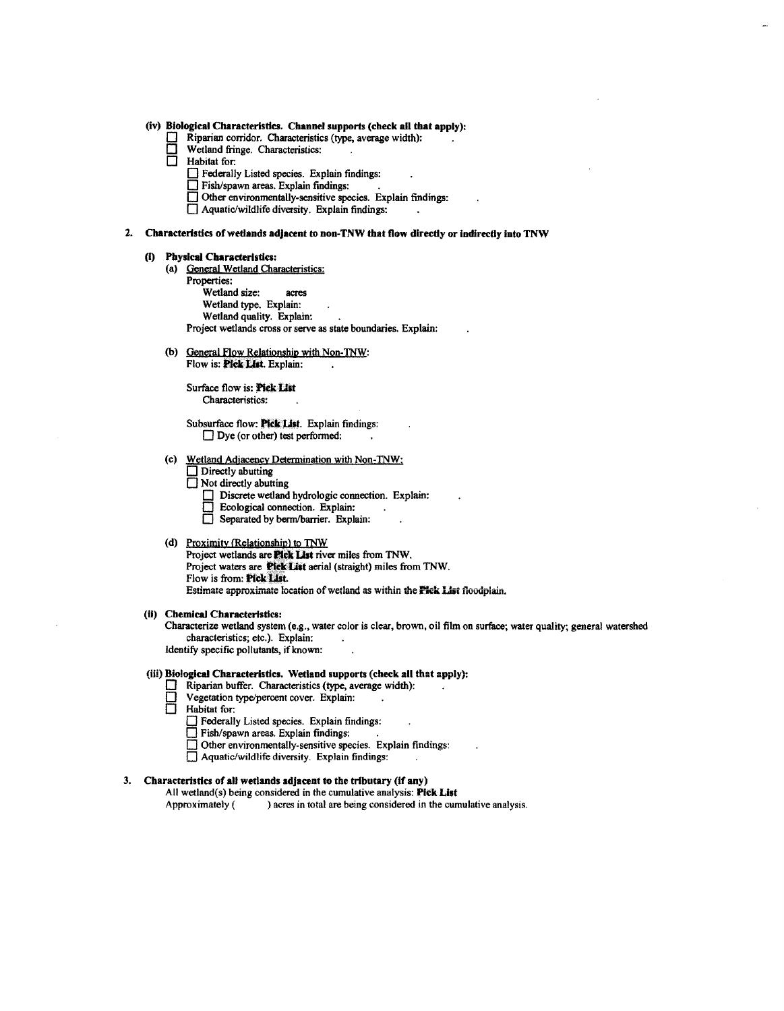### (iv) Biological Characteristics. Channel supports (check all that apply):

- Riparian corridor. Characteristics (type, average width):<br>
U Wetland fringe. Characteristics:<br>
I Habitat for:
- $\Box$  Wetland fringe. Characteristics:
- Habitat for:
	- 0 Federally Listed species. Explain findings:
	-
	- □ Fish/spawn areas. Explain findings:<br>□ Other environmentally-sensitive species. Explain findings:
	- $\Box$  Aquatic/wildlife diversity. Explain findings:

### 2. Characteristics of wetlands adjacent to non-TNW that flow directly or indirectly into TNW

## (i) Physical Characteristics:<br>(a) General Wetland Cha

- General Wetland Characteristics: Properties: Wetland size: acres
	- Wetland type. Explain: Wetland quality. Explain: Project wetlands cross or serve as state boundaries. Explain:
- (b) General Flow Relationship with Non-TNW: Flow is: Pick List. Explain:

Surface flow is: Pick List Characteristics:

Subsurface flow: Plck List. Explain findings:  $\Box$  Dye (or other) test performed:

- (c) Wetland Adjacency Determination with Non-TNW:
	- $\Box$  Directly abutting
	- $\overline{\Box}$  Not directly abutting
		- $\Box$  Discrete wetland hydrologic connection. Explain:
		- $\Box$  Ecological connection. Explain:
		- Separated by berm/barrier. Explain:
- (d) Proximity (Relationship) to TNW Project wetlands are **Pick List** river miles from TNW. Project waters are **Pick List** aerial (straight) miles from TNW. Flow is from: Pick List. Estimate approximate location of wetland as within the **Pick List** floodplain.

### (ii) Chemical Characteristics:

Characterize wetland system (e.g., water color is clear, brown, oil film on surface; water quality; general watershed characteristics; etc.). Explain:

Identify specific pollutants, if known:

### (ill) Biological Characteristics. Wetland supports (check all that apply):

- $\Box$  Riparian buffer. Characteristics (type, average width):<br> $\Box$  Vegetation type/percent cover. Explain:
- $\Box$  Vegetation type/percent cover. Explain:
- □ Habitat for:
	- $\Box$  Federally Listed species. Explain findings:
	- $\Box$  Fish/spawn areas. Explain findings:
	- $\Box$  Other environmentally-sensitive species. Explain findings:
	- $\Box$  Aquatic/wildlife diversity. Explain findings:

### 3. Characteristics of all wetlands adjacent to the tributary (if any)

All wetland(s) being considered in the cumulative analysis: Pick List

Approximately ( ) acres in total are being considered in the cumulative analysis.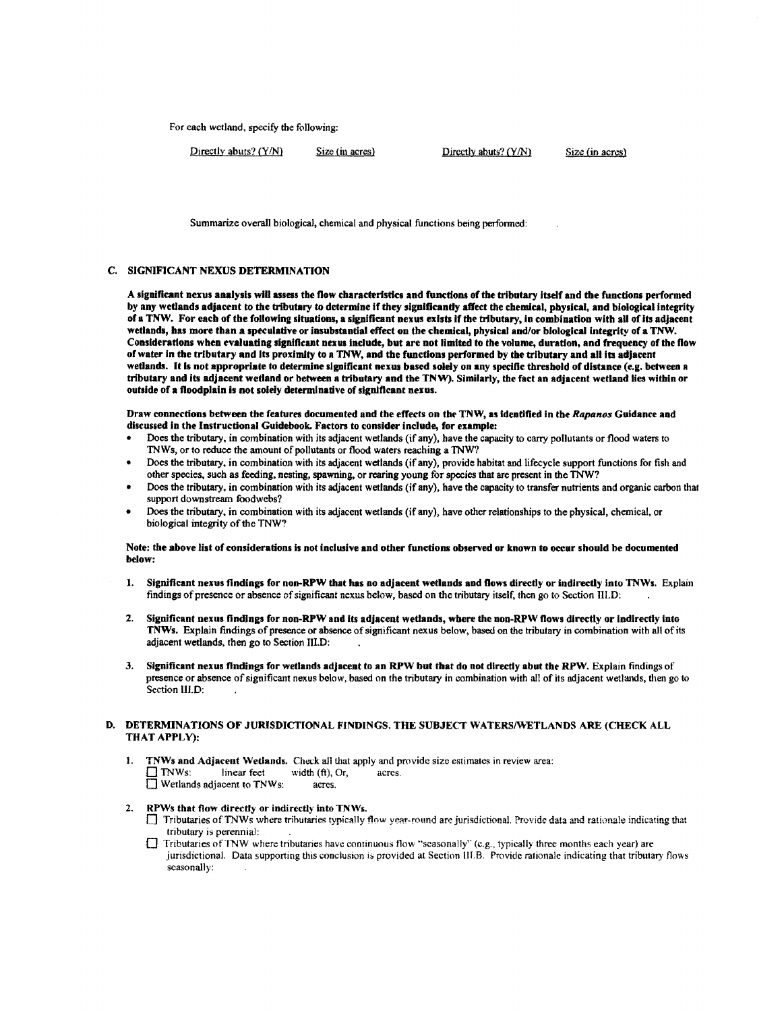For each wetland, specify the following:

 $Directly abuse? (Y/N)$  Size (in acres) Directly abuts?  $(Y/N)$  Size (in acres)

Summarize overall biological, chemical and physical functions being performed:

### C. SIGNIFICANT NEXUS DETERMINATION

A significant nexus analysis will assess the now characteristics and functions of the tributary Itself and the functions performed by any wetlands adjacent to the tributary to determine if they significantly affect the chemical, physical, and biological integrity of a TNW. For each of the following situations, a significant nexus exists if the tributary, In combination with all of Its adjacent wetlands, has more than a speculative or insubstantial effect on the chemical, physical and/or biological integrity of a TNW. Considerations when evaluating significant nexus include, but are not limited to the volume, duration, and frequency of the flow ofwater In the tributary and Its proximity to a TNW, and the functions performed by the tributary and all Its adjacent wetlands. It Is not appropriate to determine significant nexus based solely on any specific threshold of distance (e.g. between a tributary and Its adjacent wetland or between a tributary and the TNW). Similarly, the fact an adjacent wetland lies within or outside of a floodplain is not solely determinative of significant nexus.

Draw connections between the features documented and the effects on tht TNW, as Identified in the *Rapanos* Guidance and discussed In the Instructional Guidebook. Factors to consider include, for example:

- Does the tributary, in combination with its adjacent wetlands (if any), have the capacity to carry pollutants or flood waters to TNWs, or to reduce the amount of pollutants or flood waters reaching a 'INW?
- Does the tributary, in combination with its adjacent wetlands (if any), provide habitat and lifecycle support functions for fish and other species, such as feeding, nesting, spawning, or rearing young for species that are present in the 'INW?
- Does the tributary, in combination with its adjacent wetlands (if any), have the capacity to transfer nutrients and organic carbon that support downstream foodwebs?
- Does the tributary, in combination with its adjacent wetlands (if any), have other relationships to the physical, chemical, or biological integrity of the TNW?

### Note: the above list of considerations is not Inclusive and other functions observed or known to occur should be documented below:

- 1. Significant nexus findings for non-RPW that has no adjacent wetlands and flows directly or indirectly into TNWs. Explain findings of presence or absence of significant nexus below, based on the tributary itself, then go to Section III.D:
- 2. Significant nexus findings for non-RPW and its adjacent wetlands, where the non-RPW flows directly or indirectly into TNWs. Explain findings of presence or absence ofsignificant nexus below, based on the tributary in combination with all of its adjacent wetlands, then go to Section III.D:
- 3. Significant nexus findings for wetlands adjacent to an RPW but that do not directly abut the RPW. Explain findings of presence or absence of significant nexus below, based on the tributary in combination with all of its adjacent wetlands, then go to Section III D:

### D. DETERMINATIONS OF JURISDICTIONAL FINDINGS. THE SUBJECT WATERS/WETLANDS ARE (CHECK ALL THAT APPLY):

1. **TNWs and Adjacent Wetlands.** Check all that apply and provide size estimates in review area:<br> $\Box$  TNWs: linear feet width (ft), Or, acres.  $\frac{1}{\text{linear feet}}$  width (ft), Or, acres.<br>acres.  $\Box$  Wetlands adjacent to TNWs:

### 2. RPWs that flow direcdy or indirectly into TNWs.

- $\Box$  Tributaries of TNWs where tributaries typically flow year-round are jurisdictional. Provide data and rationale indicating that tributary is perennial:
- 0 Tributaries ofTNW where tributaries have continuous flow "'seasonally'' (e.g., typically three months each year) are jurisdictional. Data supporting this conclusion is provided at Section III.B. Provide rationale indicating that tributary flows seasonally: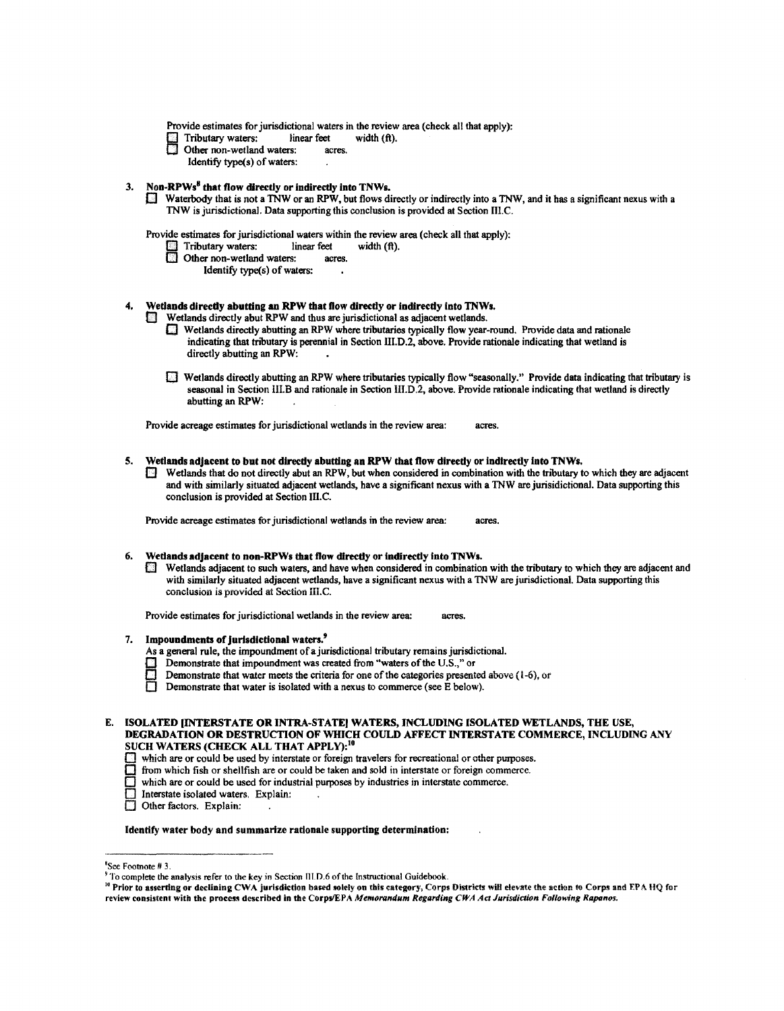Provide estimates for jurisdictional waters in the review area (check all that apply):<br>  $\Box$  Tributary waters: linear feet width (ft).

- Tributary waters: linear feet width (ft).<br>
Other non-wetland waters: acres.<br>
Identify type(s) of waters:
- Other non-wetland waters: acres.
	- Identify type(s) of waters:

3. Non-RPWs<sup>8</sup> that flow directly or indirectly into TNWs.<br>D Waterbody that is not a TNW or an RPW, but flows directly or indirectly into a TNW, and it has a significant nexus with a TNW is jurisdictional. Data supporting this conclusion is provided at Section III.C.

Provide estimates for jurisdictional waters within the review area (check all that apply):<br>
Tributary waters: linear feet width (ft).

- Tributary waters: linear feet<br>1 Other non-wetland waters: acres.
- $\Box$  Other non-wetland waters:
	- Identify type(s) of waters:

### 4. Wetlands directly abutting an RPW that flow directly or indirectly into TNWs.

- Wetlands directly abut RPW and thus are jurisdictional as adjacent wetlands.
	- 0 Wetlands directly abutting an RPW where tributaries typically flow year-round. Provide data and rationale indicating that tnbutary is perennial in Section III.D.2, above. Provide rationale indicating that wetland is directly abutting an RPW:
	- 0 Wetlands directly abutting an RPW where tributaries typically flow "seasonally." Provide data indicating that tributary is seasonal in Section III.B and rationale in Section III.D.2, above. Provide rationale indicating that wetland is directly abutting an RPW:

Provide acreage estimates for jurisdictional wetlands in the review area: acres.

### S. Wetlands adjacent to but not directly abutting an RPW that flow directly or indirectly into TNWs.

 $\Box$  Wetlands that do not directly abut an RPW, but when considered in combination with the tributary to which they are adjacent and with similarly situated adjacent wetlands, have a significant nexus with a 1NW are jurisidictional. Data supporting this conclusion is provided at Section III.C.

Provide acreage estimates for jurisdictional wetlands in the review area: acres.

### 6. Wetlands adjacent to non-RPWs that flow directly or indirectly into TNWs.

 $\Box$  Wetlands adjacent to such waters, and have when considered in combination with the tributary to which they are adjacent and with similarly situated adjacent wetlands, have a significant nexus with a 1NW are jurisdictional. Data supporting this **conclusion is provided at Section** III.C.

Provide estimates for jurisdictional wetlands in the review area: acres.

### 7. Impoundments of jurisdictional waters.<sup>9</sup>

- As a general rule, the impoundment of a jurisdictional tributary remains jurisdictional.
- **Demonstrate that impoundment was created from "waters of the U.S.," or**
- **Demonstrate that water meets the criteria for one of the categories presented above (1-6), or** Demonstrate that water is isolated with a nexus to commerce (see E below).
- Demonstrate that water is isolated with a nexus to commerce (see E below).

- **c** which are or could be used by interstate or foreign travelers for recreational or other purposes.
- $\Box$  from which fish or shellfish are or could be taken and sold in interstate or foreign commerce.  $\Box$  which are or could be used for industrial purposes by industries in interstate commerce.
- which are or could be used for industrial purposes by industries in interstate commerce.
- Interstate isolated waters. Explain:
- Other factors. Explain:

### Identify water body and summarize rationale supporting determination:

<sup>10</sup> Prior to asserting or declining CWA jurisdiction based solely on this category, Corps Districts will elevate the action to Corps and EPA HQ for review consisteni with the process described In the Corps/EPA *Memorandum Regarding CWA Act Jurisdiction Following Rapanos.* 

E. ISOLATED INTERSTATE OR INTRA-STATE WATERS, INCLUDING ISOLATED WETLANDS, THE USE, DEGRADATION OR DESTRUCTION OF WHICH COULD AFFECT INTERSTATE COMMERCE, INCLUDING ANY SUCH WATERS (CHECK ALL THAT APPLY):<sup>10</sup>

<sup>&#</sup>x27;See Footnote # 3.

 $9^9$  To complete the analysis refer to the key in Section III.D.6 of the Instructional Guidebook.